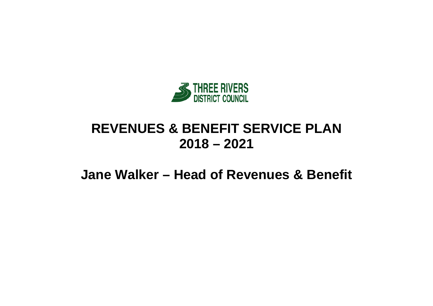

# **REVENUES & BENEFIT SERVICE PLAN 2018 – 2021**

**Jane Walker – Head of Revenues & Benefit**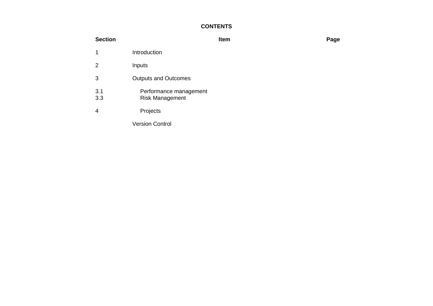## **CONTENTS**

| <b>Section</b> |                                                  | Item | Page |
|----------------|--------------------------------------------------|------|------|
| 1              | Introduction                                     |      |      |
| $\overline{2}$ | Inputs                                           |      |      |
| 3              | <b>Outputs and Outcomes</b>                      |      |      |
| 3.1<br>3.3     | Performance management<br><b>Risk Management</b> |      |      |
| 4              | Projects                                         |      |      |
|                | <b>Version Control</b>                           |      |      |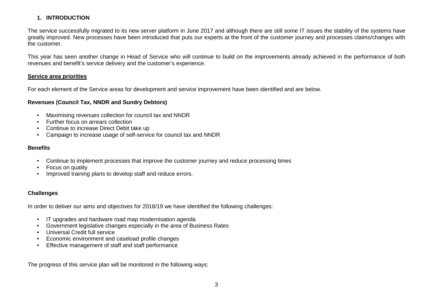### **1. INTRODUCTION**

The service successfully migrated to its new server platform in June 2017 and although there are still some IT issues the stability of the systems have greatly improved. New processes have been introduced that puts our experts at the front of the customer journey and processes claims/changes with the customer.

This year has seen another change in Head of Service who will continue to build on the improvements already achieved in the performance of both revenues and benefit's service delivery and the customer's experience.

#### **Service area priorities**

For each element of the Service areas for development and service improvement have been identified and are below.

#### **Revenues (Council Tax, NNDR and Sundry Debtors)**

- Maximising revenues collection for council tax and NNDR
- Further focus on arrears collection
- Continue to increase Direct Debit take up
- Campaign to increase usage of self-service for council tax and NNDR

#### **Benefits**

- Continue to implement processes that improve the customer journey and reduce processing times
- Focus on quality
- Improved training plans to develop staff and reduce errors.

#### **Challenges**

In order to deliver our aims and objectives for 2018/19 we have identified the following challenges:

- IT upgrades and hardware road map modernisation agenda
- Government legislative changes especially in the area of Business Rates
- Universal Credit full service
- Economic environment and caseload profile changes
- Effective management of staff and staff performance

The progress of this service plan will be monitored in the following ways: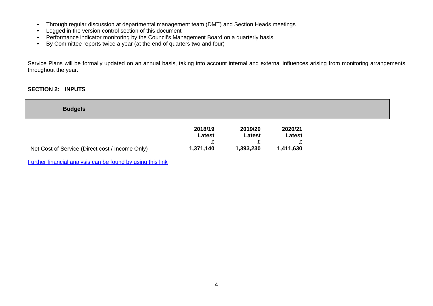- Through regular discussion at departmental management team (DMT) and Section Heads meetings
- Logged in the version control section of this document
- Performance indicator monitoring by the Council's Management Board on a quarterly basis
- By Committee reports twice a year (at the end of quarters two and four)

Service Plans will be formally updated on an annual basis, taking into account internal and external influences arising from monitoring arrangements throughout the year.

#### **SECTION 2: INPUTS**

| <b>Budgets</b>                                  |           |           |           |
|-------------------------------------------------|-----------|-----------|-----------|
|                                                 |           |           |           |
|                                                 | 2018/19   | 2019/20   | 2020/21   |
|                                                 | Latest    | Latest    | Latest    |
|                                                 |           |           |           |
| Net Cost of Service (Direct cost / Income Only) | 1,371,140 | 1,393,230 | 1,411,630 |

[Further financial analysis can be found by using this link](http://www.threerivers.gov.uk/egcl-page/budgets-2018-21)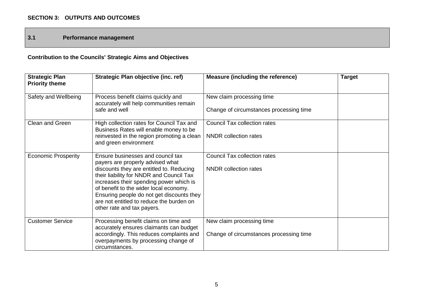**3.1 Performance management**

# **Contribution to the Councils' Strategic Aims and Objectives**

| <b>Strategic Plan</b><br><b>Priority theme</b> | Strategic Plan objective (inc. ref)                                                                                                                                       | <b>Measure (including the reference)</b> | <b>Target</b> |
|------------------------------------------------|---------------------------------------------------------------------------------------------------------------------------------------------------------------------------|------------------------------------------|---------------|
| Safety and Wellbeing                           | Process benefit claims quickly and<br>accurately will help communities remain                                                                                             | New claim processing time                |               |
|                                                | safe and well                                                                                                                                                             | Change of circumstances processing time  |               |
| Clean and Green                                | High collection rates for Council Tax and<br>Business Rates will enable money to be                                                                                       | <b>Council Tax collection rates</b>      |               |
|                                                | reinvested in the region promoting a clean<br>and green environment                                                                                                       | <b>NNDR</b> collection rates             |               |
| <b>Economic Prosperity</b>                     | Ensure businesses and council tax<br>payers are properly advised what                                                                                                     | <b>Council Tax collection rates</b>      |               |
|                                                | discounts they are entitled to. Reducing<br>their liability for NNDR and Council Tax<br>increases their spending power which is<br>of benefit to the wider local economy. | NNDR collection rates                    |               |
|                                                | Ensuring people do not get discounts they<br>are not entitled to reduce the burden on<br>other rate and tax payers.                                                       |                                          |               |
| <b>Customer Service</b>                        | Processing benefit claims on time and<br>accurately ensures claimants can budget                                                                                          | New claim processing time                |               |
|                                                | accordingly. This reduces complaints and<br>overpayments by processing change of<br>circumstances.                                                                        | Change of circumstances processing time  |               |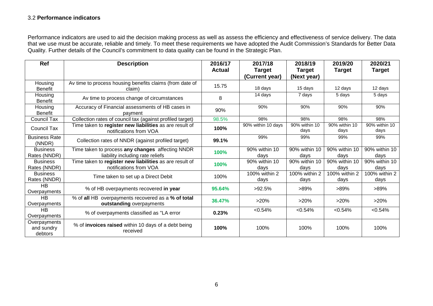#### 3.2 **Performance indicators**

Performance indicators are used to aid the decision making process as well as assess the efficiency and effectiveness of service delivery. The data that we use must be accurate, reliable and timely. To meet these requirements we have adopted the Audit Commission's Standards for Better Data Quality. Further details of the Council's commitment to data quality can be found in the Strategic Plan.

| Ref                                   | <b>Description</b>                                                                   | 2016/17       | 2017/18               | 2018/19               | 2019/20               | 2020/21               |
|---------------------------------------|--------------------------------------------------------------------------------------|---------------|-----------------------|-----------------------|-----------------------|-----------------------|
|                                       |                                                                                      | <b>Actual</b> | <b>Target</b>         | <b>Target</b>         | <b>Target</b>         | <b>Target</b>         |
|                                       |                                                                                      |               | (Current year)        | (Next year)           |                       |                       |
| Housing<br><b>Benefit</b>             | Av time to process housing benefits claims (from date of<br>claim)                   | 15.75         | 18 days               | 15 days               | 12 days               | 12 days               |
| Housing<br><b>Benefit</b>             | Av time to process change of circumstances                                           | 8             | 14 days               | 7 days                | 5 days                | 5 days                |
| Housing<br>Benefit                    | Accuracy of Financial assessments of HB cases in<br>payment                          | 90%           | 90%                   | 90%                   | 90%                   | 90%                   |
| <b>Council Tax</b>                    | Collection rates of council tax (against profiled target)                            | 98.5%         | 98%                   | 98%                   | 98%                   | 98%                   |
| <b>Council Tax</b>                    | Time taken to register new liabilities as are result of<br>notifications from VOA    | 100%          | 90% within 10 days    | 90% within 10<br>days | 90% within 10<br>days | 90% within 10<br>days |
| <b>Business Rate</b><br>(NNDR)        | Collection rates of NNDR (against profiled target)                                   | 99.1%         | 99%                   | 99%                   | 99%                   | 99%                   |
| <b>Business</b><br>Rates (NNDR)       | Time taken to process any changes affecting NNDR<br>liability including rate reliefs | 100%          | 90% within 10<br>days | 90% within 10<br>days | 90% within 10<br>days | 90% within 10<br>days |
| <b>Business</b><br>Rates (NNDR)       | Time taken to register new liabilities as are result of<br>notifications from VOA    | 100%          | 90% within 10<br>days | 90% within 10<br>days | 90% within 10<br>days | 90% within 10<br>days |
| <b>Business</b><br>Rates (NNDR)       | Time taken to set up a Direct Debit                                                  | 100%          | 100% within 2<br>days | 100% within 2<br>days | 100% within 2<br>days | 100% within 2<br>days |
| <b>HB</b><br>Overpayments             | % of HB overpayments recovered in year                                               | 95.64%        | >92.5%                | $>89\%$               | >89%                  | $>89\%$               |
| $\overline{HB}$<br>Overpayments       | % of all HB overpayments recovered as a % of total<br>outstanding overpayments       | 36.47%        | >20%                  | >20%                  | >20%                  | $>20\%$               |
| <b>HB</b><br>Overpayments             | % of overpayments classified as "LA error                                            | 0.23%         | < 0.54%               | < 0.54%               | < 0.54%               | $< 0.54\%$            |
| Overpayments<br>and sundry<br>debtors | % of invoices raised within 10 days of a debt being<br>received                      | 100%          | 100%                  | 100%                  | 100%                  | 100%                  |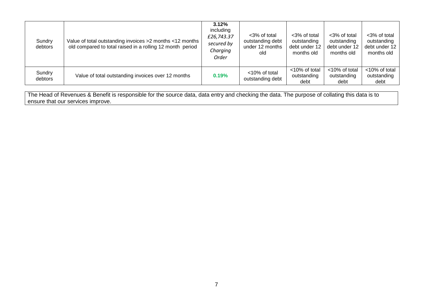| Sundry<br>debtors | Value of total outstanding invoices >2 months <12 months<br>old compared to total raised in a rolling 12 month period | $3.12\%$<br>including<br>£26,743.37<br>secured by<br>Charging<br>Order | <3% of total<br>outstanding debt<br>under 12 months<br>old | <3% of total<br>outstanding<br>debt under 12<br>months old | <3% of total<br>outstanding<br>debt under 12<br>months old | <3% of total<br>outstanding<br>debt under 12<br>months old |
|-------------------|-----------------------------------------------------------------------------------------------------------------------|------------------------------------------------------------------------|------------------------------------------------------------|------------------------------------------------------------|------------------------------------------------------------|------------------------------------------------------------|
| Sundry<br>debtors | Value of total outstanding invoices over 12 months                                                                    | 0.19%                                                                  | <10% of total<br>outstanding debt                          | <10% of total<br>outstanding<br>debt                       | <10% of total<br>outstanding<br>debt                       | <10% of total<br>outstanding<br>debt                       |

The Head of Revenues & Benefit is responsible for the source data, data entry and checking the data. The purpose of collating this data is to ensure that our services improve.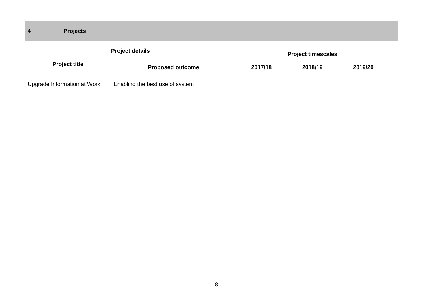|                             | <b>Project details</b>          |         | <b>Project timescales</b> |         |  |  |
|-----------------------------|---------------------------------|---------|---------------------------|---------|--|--|
| <b>Project title</b>        | <b>Proposed outcome</b>         | 2017/18 | 2018/19                   | 2019/20 |  |  |
| Upgrade Information at Work | Enabling the best use of system |         |                           |         |  |  |
|                             |                                 |         |                           |         |  |  |
|                             |                                 |         |                           |         |  |  |
|                             |                                 |         |                           |         |  |  |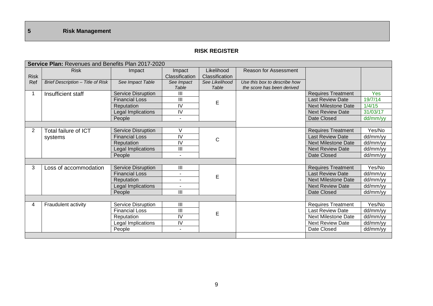#### **RISK REGISTER**

|             | <b>Service Plan: Revenues and Benefits Plan 2017-2020</b> |                           |                    |                       |                              |                            |          |  |
|-------------|-----------------------------------------------------------|---------------------------|--------------------|-----------------------|------------------------------|----------------------------|----------|--|
|             | <b>Risk</b>                                               | Impact                    | Impact             | Likelihood            | <b>Reason for Assessment</b> |                            |          |  |
| <b>Risk</b> |                                                           |                           | Classification     | <b>Classification</b> |                              |                            |          |  |
| Ref         | Brief Description - Title of Risk                         | See Impact Table          | See Impact         | See Likelihood        | Use this box to describe how |                            |          |  |
|             |                                                           |                           | Table              | Table                 | the score has been derived   |                            |          |  |
|             | Insufficient staff                                        | Service Disruption        | Ш                  |                       |                              | <b>Requires Treatment</b>  | Yes      |  |
|             |                                                           | <b>Financial Loss</b>     | Ш                  | E                     |                              | <b>Last Review Date</b>    | 19/7/14  |  |
|             |                                                           | Reputation                | IV                 |                       |                              | <b>Next Milestone Date</b> | 1/4/15   |  |
|             |                                                           | Legal Implications        | IV                 |                       |                              | <b>Next Review Date</b>    | 31/03/17 |  |
|             |                                                           | People                    | ٠                  |                       |                              | Date Closed                | dd/mm/yy |  |
|             |                                                           |                           |                    |                       |                              |                            |          |  |
| 2           | Total failure of ICT                                      | Service Disruption        | V                  |                       |                              | <b>Requires Treatment</b>  | Yes/No   |  |
|             | systems                                                   | <b>Financial Loss</b>     | IV                 | $\mathsf{C}$          |                              | <b>Last Review Date</b>    | dd/mm/yy |  |
|             |                                                           | Reputation                | IV                 |                       |                              | <b>Next Milestone Date</b> | dd/mm/yy |  |
|             |                                                           | Legal Implications        | Ш                  |                       |                              | <b>Next Review Date</b>    | dd/mm/yy |  |
|             |                                                           | People                    | $\blacksquare$     |                       |                              | Date Closed                | dd/mm/yy |  |
|             |                                                           |                           |                    |                       |                              |                            |          |  |
| 3           | Loss of accommodation                                     | <b>Service Disruption</b> | $\mathop{\rm III}$ |                       |                              | <b>Requires Treatment</b>  | Yes/No   |  |
|             |                                                           | <b>Financial Loss</b>     | $\blacksquare$     | E                     |                              | <b>Last Review Date</b>    | dd/mm/yy |  |
|             |                                                           | Reputation                |                    |                       |                              | <b>Next Milestone Date</b> | dd/mm/yy |  |
|             |                                                           | Legal Implications        |                    |                       |                              | <b>Next Review Date</b>    | dd/mm/yy |  |
|             |                                                           | People                    | $\mathbf{III}$     |                       |                              | Date Closed                | dd/mm/yy |  |
|             |                                                           |                           |                    |                       |                              |                            |          |  |
| 4           | Fraudulent activity                                       | Service Disruption        | III                |                       |                              | <b>Requires Treatment</b>  | Yes/No   |  |
|             |                                                           | <b>Financial Loss</b>     | $\parallel$        | E                     |                              | <b>Last Review Date</b>    | dd/mm/yy |  |
|             |                                                           | Reputation                | IV                 |                       |                              | <b>Next Milestone Date</b> | dd/mm/yy |  |
|             |                                                           | Legal Implications        | IV                 |                       |                              | <b>Next Review Date</b>    | dd/mm/yy |  |
|             |                                                           | People                    | $\sim$             |                       |                              | Date Closed                | dd/mm/yy |  |
|             |                                                           |                           |                    |                       |                              |                            |          |  |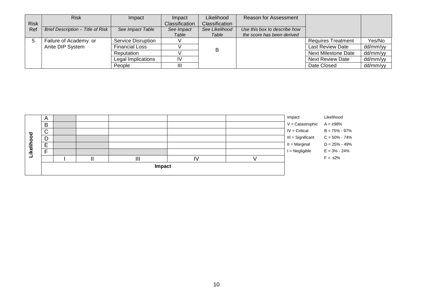|             | <b>Risk</b>                       | Impact                    | Impact         | Likelihood     | <b>Reason for Assessment</b> |                           |          |
|-------------|-----------------------------------|---------------------------|----------------|----------------|------------------------------|---------------------------|----------|
| <b>Risk</b> |                                   |                           | Classification | Classification |                              |                           |          |
| Ref         | Brief Description - Title of Risk | See Impact Table          | See Impact     | See Likelihood | Use this box to describe how |                           |          |
|             |                                   |                           | Table          | Table          | the score has been derived   |                           |          |
|             | Failure of Academy or             | <b>Service Disruption</b> |                |                |                              | <b>Requires Treatment</b> | Yes/No   |
|             | Anite DIP System                  | <b>Financial Loss</b>     |                | в              |                              | <b>Last Review Date</b>   | dd/mm/yy |
|             |                                   | Reputation                |                |                |                              | Next Milestone Date       | dd/mm/yy |
|             |                                   | Legal Implications        | IV             |                |                              | <b>Next Review Date</b>   | dd/mm/yy |
|             |                                   | People                    | Ш              |                |                              | Date Closed               | dd/mm/yy |

|           | A                        |  |        |    | Impact                             | Likelihood        |
|-----------|--------------------------|--|--------|----|------------------------------------|-------------------|
|           | B                        |  |        |    | $V =$ Catastrophic $A = \geq 98\%$ |                   |
| ਠ         | $\sim$<br>ັ              |  |        |    | $IV = Critical$                    | $B = 75\% - 97\%$ |
| О         | D<br>◡                   |  |        |    | III = Significant                  | $C = 50\% - 74\%$ |
|           | $\overline{ }$<br>-<br>- |  |        |    | $II = Marginal$                    | $D = 25\% - 49\%$ |
| keli<br>≔ | $\overline{ }$<br>┕      |  |        |    | $I = Negligible$                   | $E = 3\% - 24\%$  |
|           |                          |  | Ш      | I١ |                                    | $F = \leq 2\%$    |
|           |                          |  | Impact |    |                                    |                   |